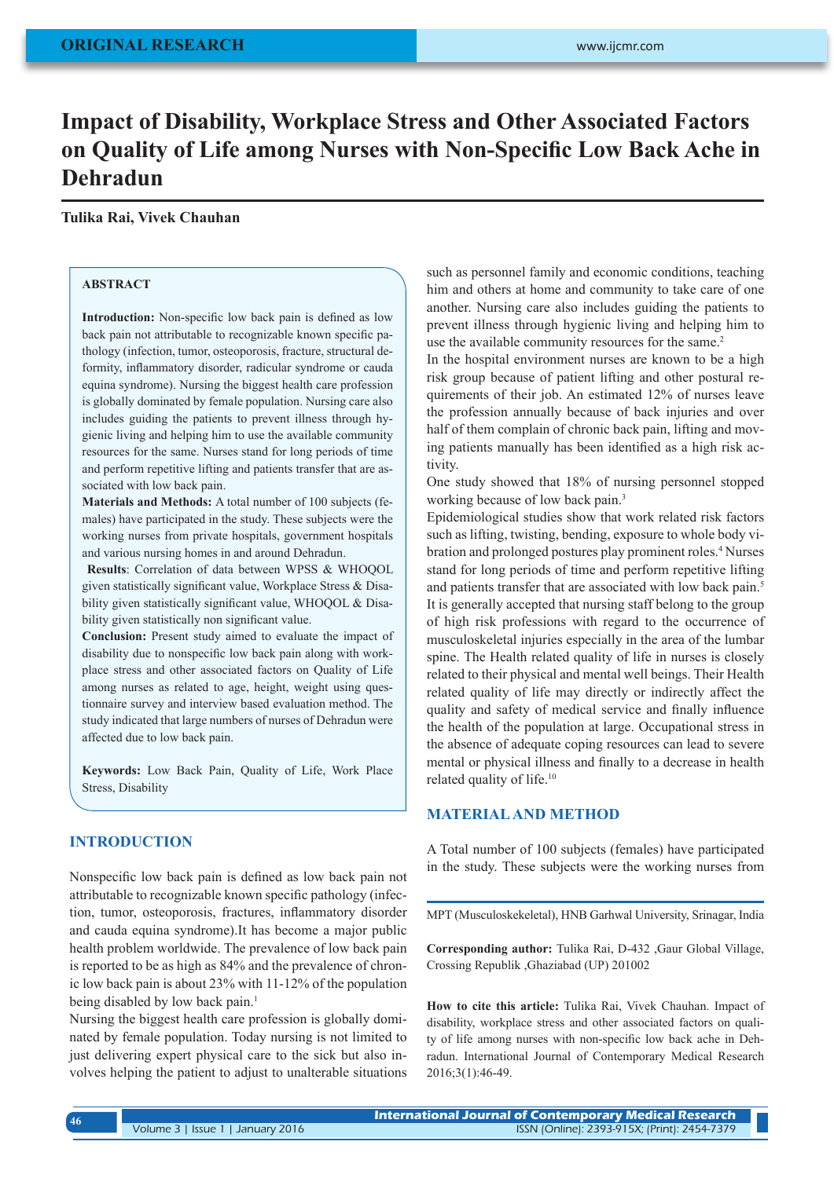# **Impact of Disability, Workplace Stress and Other Associated Factors on Quality of Life among Nurses with Non-Specific Low Back Ache in Dehradun**

# **Tulika Rai, Vivek Chauhan**

## **ABSTRACT**

**Introduction:** Non-specific low back pain is defined as low back pain not attributable to recognizable known specific pathology (infection, tumor, osteoporosis, fracture, structural deformity, inflammatory disorder, radicular syndrome or cauda equina syndrome). Nursing the biggest health care profession is globally dominated by female population. Nursing care also includes guiding the patients to prevent illness through hygienic living and helping him to use the available community resources for the same. Nurses stand for long periods of time and perform repetitive lifting and patients transfer that are associated with low back pain.

**Materials and Methods:** A total number of 100 subjects (females) have participated in the study. These subjects were the working nurses from private hospitals, government hospitals and various nursing homes in and around Dehradun.

**Results**: Correlation of data between WPSS & WHOQOL given statistically significant value, Workplace Stress & Disability given statistically significant value, WHOQOL & Disability given statistically non significant value.

**Conclusion:** Present study aimed to evaluate the impact of disability due to nonspecific low back pain along with workplace stress and other associated factors on Quality of Life among nurses as related to age, height, weight using questionnaire survey and interview based evaluation method. The study indicated that large numbers of nurses of Dehradun were affected due to low back pain.

**Keywords:** Low Back Pain, Quality of Life, Work Place Stress, Disability

## **INTRODUCTION**

Nonspecific low back pain is defined as low back pain not attributable to recognizable known specific pathology (infection, tumor, osteoporosis, fractures, inflammatory disorder and cauda equina syndrome).It has become a major public health problem worldwide. The prevalence of low back pain is reported to be as high as 84% and the prevalence of chronic low back pain is about 23% with 11-12% of the population being disabled by low back pain.<sup>1</sup>

Nursing the biggest health care profession is globally dominated by female population. Today nursing is not limited to just delivering expert physical care to the sick but also involves helping the patient to adjust to unalterable situations such as personnel family and economic conditions, teaching him and others at home and community to take care of one another. Nursing care also includes guiding the patients to prevent illness through hygienic living and helping him to use the available community resources for the same.<sup>2</sup>

In the hospital environment nurses are known to be a high risk group because of patient lifting and other postural requirements of their job. An estimated 12% of nurses leave the profession annually because of back injuries and over half of them complain of chronic back pain, lifting and moving patients manually has been identified as a high risk activity.

One study showed that 18% of nursing personnel stopped working because of low back pain.<sup>3</sup>

Epidemiological studies show that work related risk factors such as lifting, twisting, bending, exposure to whole body vibration and prolonged postures play prominent roles.4 Nurses stand for long periods of time and perform repetitive lifting and patients transfer that are associated with low back pain.<sup>5</sup> It is generally accepted that nursing staff belong to the group of high risk professions with regard to the occurrence of musculoskeletal injuries especially in the area of the lumbar spine. The Health related quality of life in nurses is closely related to their physical and mental well beings. Their Health related quality of life may directly or indirectly affect the quality and safety of medical service and finally influence the health of the population at large. Occupational stress in the absence of adequate coping resources can lead to severe mental or physical illness and finally to a decrease in health related quality of life.10

## **MATERIAL AND METHOD**

A Total number of 100 subjects (females) have participated in the study. These subjects were the working nurses from

MPT (Musculoskekeletal), HNB Garhwal University, Srinagar, India

**Corresponding author:** Tulika Rai, D-432 ,Gaur Global Village, Crossing Republik ,Ghaziabad (UP) 201002

**How to cite this article:** Tulika Rai, Vivek Chauhan. Impact of disability, workplace stress and other associated factors on quality of life among nurses with non-specific low back ache in Dehradun. International Journal of Contemporary Medical Research 2016;3(1):46-49.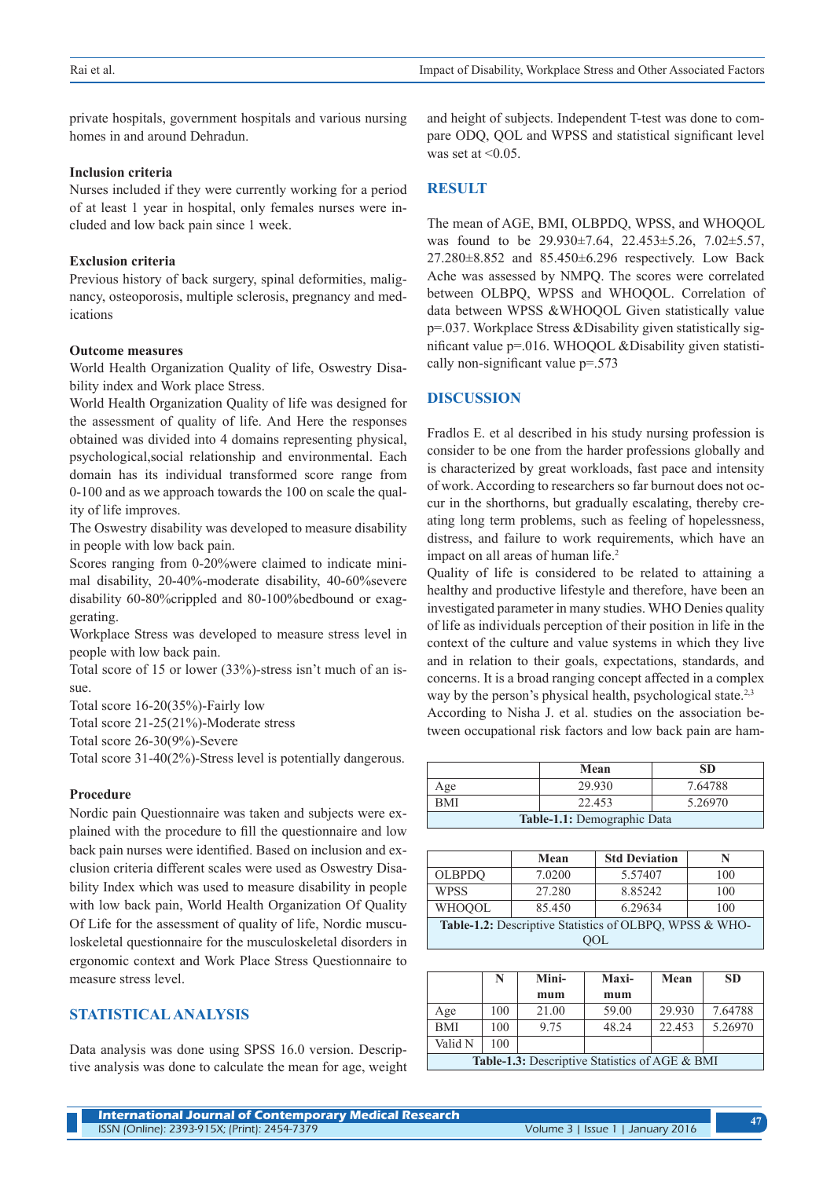private hospitals, government hospitals and various nursing homes in and around Dehradun.

#### **Inclusion criteria**

Nurses included if they were currently working for a period of at least 1 year in hospital, only females nurses were included and low back pain since 1 week.

#### **Exclusion criteria**

Previous history of back surgery, spinal deformities, malignancy, osteoporosis, multiple sclerosis, pregnancy and medications

#### **Outcome measures**

World Health Organization Quality of life, Oswestry Disability index and Work place Stress.

World Health Organization Quality of life was designed for the assessment of quality of life. And Here the responses obtained was divided into 4 domains representing physical, psychological,social relationship and environmental. Each domain has its individual transformed score range from 0-100 and as we approach towards the 100 on scale the quality of life improves.

The Oswestry disability was developed to measure disability in people with low back pain.

Scores ranging from 0-20%were claimed to indicate minimal disability, 20-40%-moderate disability, 40-60%severe disability 60-80%crippled and 80-100%bedbound or exaggerating.

Workplace Stress was developed to measure stress level in people with low back pain.

Total score of 15 or lower (33%)-stress isn't much of an issue.

Total score 16-20(35%)-Fairly low

Total score 21-25(21%)-Moderate stress

Total score 26-30(9%)-Severe

Total score 31-40(2%)-Stress level is potentially dangerous.

## **Procedure**

Nordic pain Questionnaire was taken and subjects were explained with the procedure to fill the questionnaire and low back pain nurses were identified. Based on inclusion and exclusion criteria different scales were used as Oswestry Disability Index which was used to measure disability in people with low back pain, World Health Organization Of Quality Of Life for the assessment of quality of life, Nordic musculoskeletal questionnaire for the musculoskeletal disorders in ergonomic context and Work Place Stress Questionnaire to measure stress level.

# **STATISTICAL ANALYSIS**

Data analysis was done using SPSS 16.0 version. Descriptive analysis was done to calculate the mean for age, weight and height of subjects. Independent T-test was done to compare ODQ, QOL and WPSS and statistical significant level was set at  $\leq 0.05$ .

# **RESULT**

The mean of AGE, BMI, OLBPDQ, WPSS, and WHOQOL was found to be 29.930±7.64, 22.453±5.26, 7.02±5.57, 27.280±8.852 and 85.450±6.296 respectively. Low Back Ache was assessed by NMPQ. The scores were correlated between OLBPQ, WPSS and WHOQOL. Correlation of data between WPSS &WHOQOL Given statistically value p=.037. Workplace Stress &Disability given statistically significant value p=.016. WHOQOL &Disability given statistically non-significant value p=.573

#### **DISCUSSION**

Fradlos E. et al described in his study nursing profession is consider to be one from the harder professions globally and is characterized by great workloads, fast pace and intensity of work. According to researchers so far burnout does not occur in the shorthorns, but gradually escalating, thereby creating long term problems, such as feeling of hopelessness, distress, and failure to work requirements, which have an impact on all areas of human life.<sup>2</sup>

Quality of life is considered to be related to attaining a healthy and productive lifestyle and therefore, have been an investigated parameter in many studies. WHO Denies quality of life as individuals perception of their position in life in the context of the culture and value systems in which they live and in relation to their goals, expectations, standards, and concerns. It is a broad ranging concept affected in a complex way by the person's physical health, psychological state.<sup>2,3</sup> According to Nisha J. et al. studies on the association between occupational risk factors and low back pain are ham-

|                             | Mean   | <b>SD</b> |  |  |  |
|-----------------------------|--------|-----------|--|--|--|
| Age                         | 29.930 | 7.64788   |  |  |  |
| <b>BMI</b>                  | 22.453 | 5.26970   |  |  |  |
| Table-1.1: Demographic Data |        |           |  |  |  |

|                                                         | Mean   | <b>Std Deviation</b> | N   |  |  |  |
|---------------------------------------------------------|--------|----------------------|-----|--|--|--|
| <b>OLBPDO</b>                                           | 7.0200 | 5.57407              | 100 |  |  |  |
| <b>WPSS</b>                                             | 27.280 | 8.85242              | 100 |  |  |  |
| <b>WHOOOL</b>                                           | 85.450 | 6.29634              | 100 |  |  |  |
| Table-1.2: Descriptive Statistics of OLBPQ, WPSS & WHO- |        |                      |     |  |  |  |
| $\cdot$ )OL                                             |        |                      |     |  |  |  |

|                                                       | N   | Mini- | Maxi- | Mean   | <b>SD</b> |
|-------------------------------------------------------|-----|-------|-------|--------|-----------|
|                                                       |     | mum   | mum   |        |           |
| Age                                                   | 100 | 21.00 | 59.00 | 29.930 | 7.64788   |
| <b>BMI</b>                                            | 100 | 9.75  | 48.24 | 22.453 | 5.26970   |
| Valid N                                               | 100 |       |       |        |           |
| <b>Table-1.3:</b> Descriptive Statistics of AGE & BMI |     |       |       |        |           |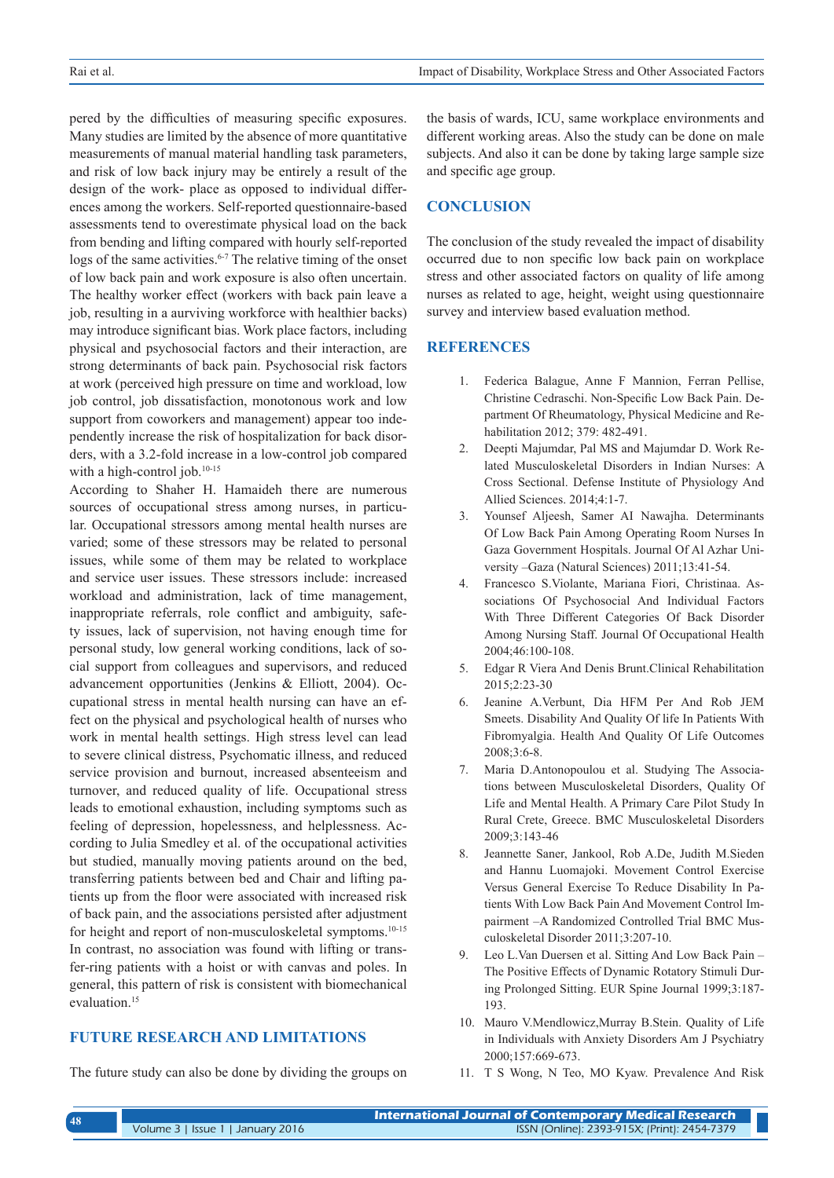pered by the difficulties of measuring specific exposures. Many studies are limited by the absence of more quantitative measurements of manual material handling task parameters, and risk of low back injury may be entirely a result of the design of the work- place as opposed to individual differences among the workers. Self-reported questionnaire-based assessments tend to overestimate physical load on the back from bending and lifting compared with hourly self-reported logs of the same activities.<sup>6-7</sup> The relative timing of the onset of low back pain and work exposure is also often uncertain. The healthy worker effect (workers with back pain leave a job, resulting in a aurviving workforce with healthier backs) may introduce significant bias. Work place factors, including physical and psychosocial factors and their interaction, are strong determinants of back pain. Psychosocial risk factors at work (perceived high pressure on time and workload, low job control, job dissatisfaction, monotonous work and low support from coworkers and management) appear too independently increase the risk of hospitalization for back disorders, with a 3.2-fold increase in a low-control job compared with a high-control job.<sup>10-15</sup>

According to Shaher H. Hamaideh there are numerous sources of occupational stress among nurses, in particular. Occupational stressors among mental health nurses are varied; some of these stressors may be related to personal issues, while some of them may be related to workplace and service user issues. These stressors include: increased workload and administration, lack of time management, inappropriate referrals, role conflict and ambiguity, safety issues, lack of supervision, not having enough time for personal study, low general working conditions, lack of social support from colleagues and supervisors, and reduced advancement opportunities (Jenkins & Elliott, 2004). Occupational stress in mental health nursing can have an effect on the physical and psychological health of nurses who work in mental health settings. High stress level can lead to severe clinical distress, Psychomatic illness, and reduced service provision and burnout, increased absenteeism and turnover, and reduced quality of life. Occupational stress leads to emotional exhaustion, including symptoms such as feeling of depression, hopelessness, and helplessness. According to Julia Smedley et al. of the occupational activities but studied, manually moving patients around on the bed, transferring patients between bed and Chair and lifting patients up from the floor were associated with increased risk of back pain, and the associations persisted after adjustment for height and report of non-musculoskeletal symptoms.<sup>10-15</sup> In contrast, no association was found with lifting or transfer-ring patients with a hoist or with canvas and poles. In general, this pattern of risk is consistent with biomechanical evaluation.<sup>15</sup>

# **FUTURE RESEARCH AND LIMITATIONS**

The future study can also be done by dividing the groups on

the basis of wards, ICU, same workplace environments and different working areas. Also the study can be done on male subjects. And also it can be done by taking large sample size and specific age group.

#### **CONCLUSION**

The conclusion of the study revealed the impact of disability occurred due to non specific low back pain on workplace stress and other associated factors on quality of life among nurses as related to age, height, weight using questionnaire survey and interview based evaluation method.

#### **REFERENCES**

- 1. Federica Balague, Anne F Mannion, Ferran Pellise, Christine Cedraschi. Non-Specific Low Back Pain. Department Of Rheumatology, Physical Medicine and Rehabilitation 2012; 379: 482-491.
- 2. Deepti Majumdar, Pal MS and Majumdar D. Work Related Musculoskeletal Disorders in Indian Nurses: A Cross Sectional. Defense Institute of Physiology And Allied Sciences. 2014;4:1-7.
- 3. Younsef Aljeesh, Samer AI Nawajha. Determinants Of Low Back Pain Among Operating Room Nurses In Gaza Government Hospitals. Journal Of Al Azhar University –Gaza (Natural Sciences) 2011;13:41-54.
- 4. Francesco S.Violante, Mariana Fiori, Christinaa. Associations Of Psychosocial And Individual Factors With Three Different Categories Of Back Disorder Among Nursing Staff. Journal Of Occupational Health 2004;46:100-108.
- 5. Edgar R Viera And Denis Brunt.Clinical Rehabilitation 2015;2:23-30
- 6. Jeanine A.Verbunt, Dia HFM Per And Rob JEM Smeets. Disability And Quality Of life In Patients With Fibromyalgia. Health And Quality Of Life Outcomes 2008;3:6-8.
- 7. Maria D.Antonopoulou et al. Studying The Associations between Musculoskeletal Disorders, Quality Of Life and Mental Health. A Primary Care Pilot Study In Rural Crete, Greece. BMC Musculoskeletal Disorders 2009;3:143-46
- 8. Jeannette Saner, Jankool, Rob A.De, Judith M.Sieden and Hannu Luomajoki. Movement Control Exercise Versus General Exercise To Reduce Disability In Patients With Low Back Pain And Movement Control Impairment –A Randomized Controlled Trial BMC Musculoskeletal Disorder 2011;3:207-10.
- 9. Leo L.Van Duersen et al. Sitting And Low Back Pain The Positive Effects of Dynamic Rotatory Stimuli During Prolonged Sitting. EUR Spine Journal 1999;3:187- 193.
- 10. Mauro V.Mendlowicz,Murray B.Stein. Quality of Life in Individuals with Anxiety Disorders Am J Psychiatry 2000;157:669-673.
- 11. T S Wong, N Teo, MO Kyaw. Prevalence And Risk